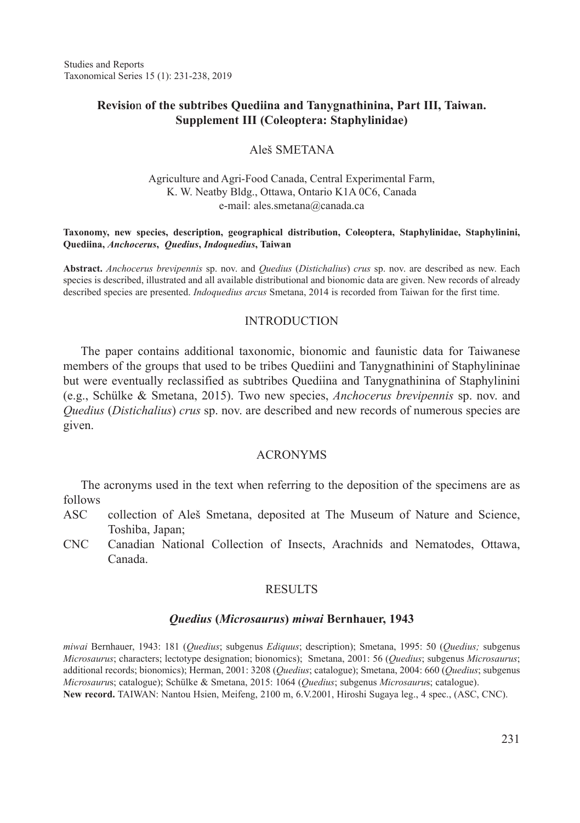# **Revisio**n **of the subtribes Quediina and Tanygnathinina, Part III, Taiwan. Supplement III (Coleoptera: Staphylinidae)**

## Aleš SMETANA

### Agriculture and Agri-Food Canada, Central Experimental Farm, K. W. Neatby Bldg., Ottawa, Ontario K1A 0C6, Canada e-mail: ales.smetana@canada.ca

#### **Taxonomy, new species, description, geographical distribution, Coleoptera, Staphylinidae, Staphylinini, Quediina,** *Anchocerus***,** *Quedius***,** *Indoquedius***, Taiwan**

**Abstract.** *Anchocerus brevipennis* sp. nov. and *Quedius* (*Distichalius*) *crus* sp. nov. are described as new. Each species is described, illustrated and all available distributional and bionomic data are given. New records of already described species are presented. *Indoquedius arcus* Smetana, 2014 is recorded from Taiwan for the first time.

## **INTRODUCTION**

The paper contains additional taxonomic, bionomic and faunistic data for Taiwanese members of the groups that used to be tribes Quediini and Tanygnathinini of Staphylininae but were eventually reclassified as subtribes Quediina and Tanygnathinina of Staphylinini (e.g., Schülke & Smetana, 2015). Two new species, *Anchocerus brevipennis* sp. nov. and *Quedius* (*Distichalius*) *crus* sp. nov. are described and new records of numerous species are given.

## ACRONYMS

The acronyms used in the text when referring to the deposition of the specimens are as follows

- ASC collection of Aleš Smetana, deposited at The Museum of Nature and Science, Toshiba, Japan;
- CNC Canadian National Collection of Insects, Arachnids and Nematodes, Ottawa, Canada.

# **RESULTS**

#### *Quedius* **(***Microsaurus***)** *miwai* **Bernhauer, 1943**

*miwai* Bernhauer, 1943: 181 (*Quedius*; subgenus *Ediquus*; description); Smetana, 1995: 50 (*Quedius;* subgenus *Microsaurus*; characters; lectotype designation; bionomics); Smetana, 2001: 56 (*Quedius*; subgenus *Microsaurus*; additional records; bionomics); Herman, 2001: 3208 (*Quedius*; catalogue); Smetana, 2004: 660 (*Quedius*; subgenus *Microsauru*s; catalogue); Schülke & Smetana, 2015: 1064 (*Quedius*; subgenus *Microsauru*s; catalogue). **New record.** TAIWAN: Nantou Hsien, Meifeng, 2100 m, 6.V.2001, Hiroshi Sugaya leg., 4 spec., (ASC, CNC).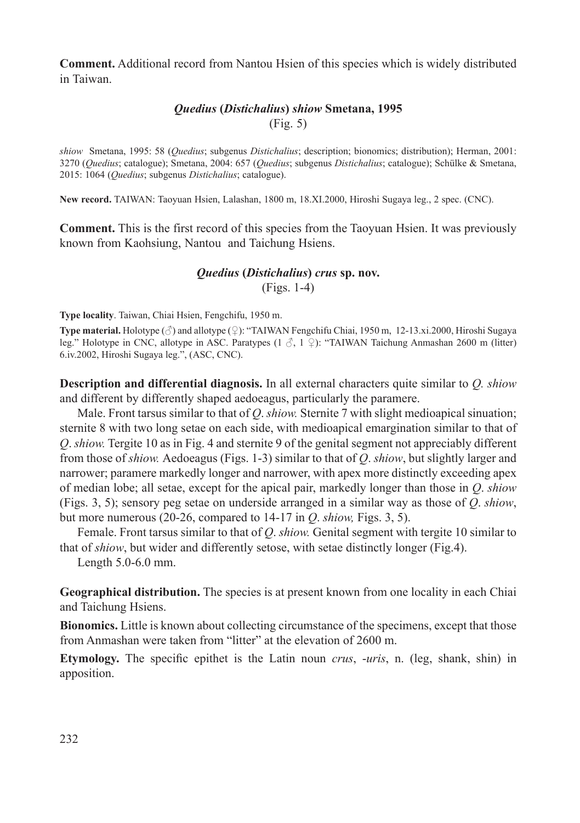**Comment.** Additional record from Nantou Hsien of this species which is widely distributed in Taiwan.

# *Quedius* **(***Distichalius***)** *shiow* **Smetana, 1995** (Fig. 5)

*shiow* Smetana, 1995: 58 (*Quedius*; subgenus *Distichalius*; description; bionomics; distribution); Herman, 2001: 3270 (*Quedius*; catalogue); Smetana, 2004: 657 (*Quedius*; subgenus *Distichalius*; catalogue); Schülke & Smetana, 2015: 1064 (*Quedius*; subgenus *Distichalius*; catalogue).

**New record.** TAIWAN: Taoyuan Hsien, Lalashan, 1800 m, 18.XI.2000, Hiroshi Sugaya leg., 2 spec. (CNC).

**Comment.** This is the first record of this species from the Taoyuan Hsien. It was previously known from Kaohsiung, Nantou and Taichung Hsiens.

# *Quedius* **(***Distichalius***)** *crus* **sp. nov.**

(Figs. 1-4)

**Type locality**. Taiwan, Chiai Hsien, Fengchifu, 1950 m.

**Type material.** Holotype (♂) and allotype (♀): "TAIWAN Fengchifu Chiai, 1950 m, 12-13.xi.2000, Hiroshi Sugaya leg." Holotype in CNC, allotype in ASC. Paratypes (1  $\beta$ , 1  $\Omega$ ): "TAIWAN Taichung Anmashan 2600 m (litter) 6.iv.2002, Hiroshi Sugaya leg.", (ASC, CNC).

**Description and differential diagnosis.** In all external characters quite similar to *Q. shiow*  and different by differently shaped aedoeagus, particularly the paramere.

Male. Front tarsus similar to that of *Q*. *shiow.* Sternite 7 with slight medioapical sinuation; sternite 8 with two long setae on each side, with medioapical emargination similar to that of *Q*. *shiow.* Tergite 10 as in Fig. 4 and sternite 9 of the genital segment not appreciably different from those of *shiow.* Aedoeagus (Figs. 1-3) similar to that of *Q*. *shiow*, but slightly larger and narrower; paramere markedly longer and narrower, with apex more distinctly exceeding apex of median lobe; all setae, except for the apical pair, markedly longer than those in *Q*. *shiow* (Figs. 3, 5); sensory peg setae on underside arranged in a similar way as those of *Q*. *shiow*, but more numerous (20-26, compared to 14-17 in *Q*. *shiow,* Figs. 3, 5).

Female. Front tarsus similar to that of *Q*. *shiow.* Genital segment with tergite 10 similar to that of *shiow*, but wider and differently setose, with setae distinctly longer (Fig.4).

Length 5.0-6.0 mm.

**Geographical distribution.** The species is at present known from one locality in each Chiai and Taichung Hsiens.

**Bionomics.** Little is known about collecting circumstance of the specimens, except that those from Anmashan were taken from "litter" at the elevation of 2600 m.

**Etymology.** The specific epithet is the Latin noun *crus*, -*uris*, n. (leg, shank, shin) in apposition.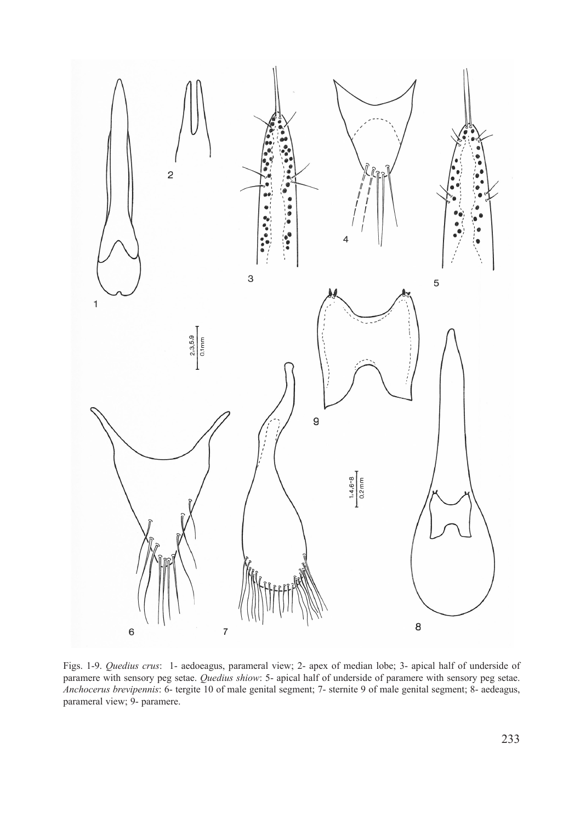

Figs. 1-9. *Quedius crus*: 1- aedoeagus, parameral view; 2- apex of median lobe; 3- apical half of underside of paramere with sensory peg setae. *Quedius shiow*: 5- apical half of underside of paramere with sensory peg setae. *Anchocerus brevipennis*: 6- tergite 10 of male genital segment; 7- sternite 9 of male genital segment; 8- aedeagus, parameral view; 9- paramere.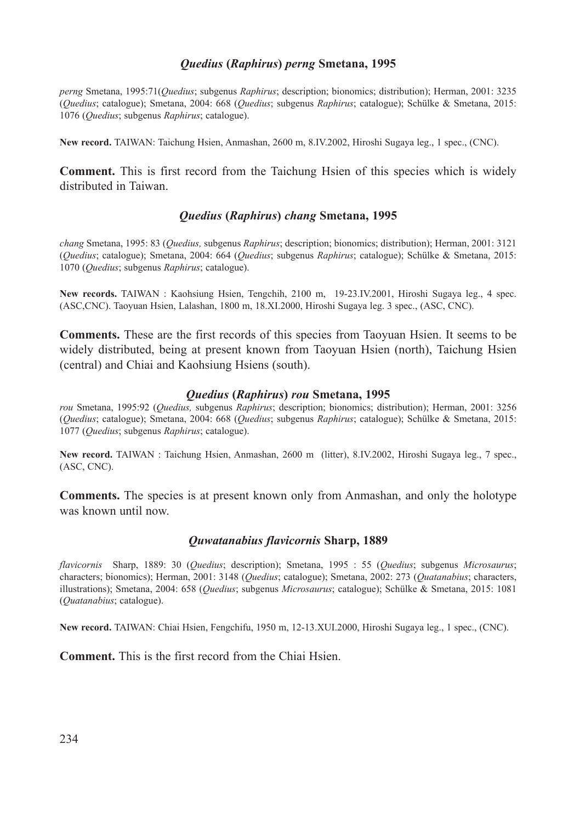# *Quedius* **(***Raphirus***)** *perng* **Smetana, 1995**

*perng* Smetana, 1995:71(*Quedius*; subgenus *Raphirus*; description; bionomics; distribution); Herman, 2001: 3235 (*Quedius*; catalogue); Smetana, 2004: 668 (*Quedius*; subgenus *Raphirus*; catalogue); Schülke & Smetana, 2015: 1076 (*Quedius*; subgenus *Raphirus*; catalogue).

**New record.** TAIWAN: Taichung Hsien, Anmashan, 2600 m, 8.IV.2002, Hiroshi Sugaya leg., 1 spec., (CNC).

**Comment.** This is first record from the Taichung Hsien of this species which is widely distributed in Taiwan.

# *Quedius* **(***Raphirus***)** *chang* **Smetana, 1995**

*chang* Smetana, 1995: 83 (*Quedius,* subgenus *Raphirus*; description; bionomics; distribution); Herman, 2001: 3121 (*Quedius*; catalogue); Smetana, 2004: 664 (*Quedius*; subgenus *Raphirus*; catalogue); Schülke & Smetana, 2015: 1070 (*Quedius*; subgenus *Raphirus*; catalogue).

**New records.** TAIWAN : Kaohsiung Hsien, Tengchih, 2100 m, 19-23.IV.2001, Hiroshi Sugaya leg., 4 spec. (ASC,CNC). Taoyuan Hsien, Lalashan, 1800 m, 18.XI.2000, Hiroshi Sugaya leg. 3 spec., (ASC, CNC).

**Comments.** These are the first records of this species from Taoyuan Hsien. It seems to be widely distributed, being at present known from Taoyuan Hsien (north), Taichung Hsien (central) and Chiai and Kaohsiung Hsiens (south).

#### *Quedius* **(***Raphirus***)** *rou* **Smetana, 1995**

*rou* Smetana, 1995:92 (*Quedius,* subgenus *Raphirus*; description; bionomics; distribution); Herman, 2001: 3256 (*Quedius*; catalogue); Smetana, 2004: 668 (*Quedius*; subgenus *Raphirus*; catalogue); Schülke & Smetana, 2015: 1077 (*Quedius*; subgenus *Raphirus*; catalogue).

**New record.** TAIWAN : Taichung Hsien, Anmashan, 2600 m (litter), 8.IV.2002, Hiroshi Sugaya leg., 7 spec., (ASC, CNC).

**Comments.** The species is at present known only from Anmashan, and only the holotype was known until now.

## *Quwatanabius flavicornis* **Sharp, 1889**

*flavicornis* Sharp, 1889: 30 (*Quedius*; description); Smetana, 1995 : 55 (*Quedius*; subgenus *Microsaurus*; characters; bionomics); Herman, 2001: 3148 (*Quedius*; catalogue); Smetana, 2002: 273 (*Quatanabius*; characters, illustrations); Smetana, 2004: 658 (*Quedius*; subgenus *Microsaurus*; catalogue); Schülke & Smetana, 2015: 1081 (*Quatanabius*; catalogue).

**New record.** TAIWAN: Chiai Hsien, Fengchifu, 1950 m, 12-13.XUI.2000, Hiroshi Sugaya leg., 1 spec., (CNC).

**Comment.** This is the first record from the Chiai Hsien.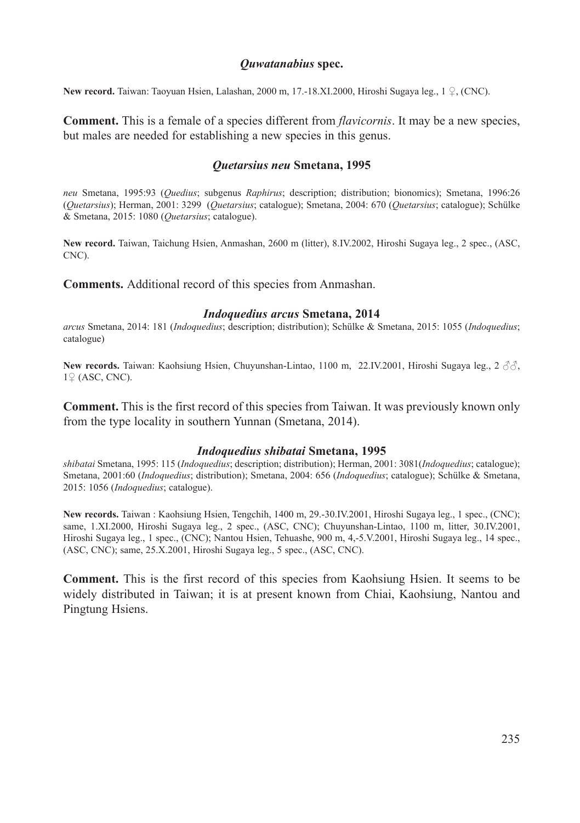# *Quwatanabius* **spec.**

**New record.** Taiwan: Taoyuan Hsien, Lalashan, 2000 m, 17.-18.XI.2000, Hiroshi Sugaya leg., 1 ♀, (CNC).

**Comment.** This is a female of a species different from *flavicornis*. It may be a new species, but males are needed for establishing a new species in this genus.

# *Quetarsius neu* **Smetana, 1995**

*neu* Smetana, 1995:93 (*Quedius*; subgenus *Raphirus*; description; distribution; bionomics); Smetana, 1996:26 (*Quetarsius*); Herman, 2001: 3299 (*Quetarsius*; catalogue); Smetana, 2004: 670 (*Quetarsius*; catalogue); Schülke & Smetana, 2015: 1080 (*Quetarsius*; catalogue).

**New record.** Taiwan, Taichung Hsien, Anmashan, 2600 m (litter), 8.IV.2002, Hiroshi Sugaya leg., 2 spec., (ASC, CNC).

**Comments.** Additional record of this species from Anmashan.

# *Indoquedius arcus* **Smetana, 2014**

*arcus* Smetana, 2014: 181 (*Indoquedius*; description; distribution); Schülke & Smetana, 2015: 1055 (*Indoquedius*; catalogue)

**New records.** Taiwan: Kaohsiung Hsien, Chuyunshan-Lintao, 1100 m, 22.IV.2001, Hiroshi Sugaya leg., 2 ♂♂, 1♀ (ASC, CNC).

**Comment.** This is the first record of this species from Taiwan. It was previously known only from the type locality in southern Yunnan (Smetana, 2014).

## *Indoquedius shibatai* **Smetana, 1995**

*shibatai* Smetana, 1995: 115 (*Indoquedius*; description; distribution); Herman, 2001: 3081(*Indoquedius*; catalogue); Smetana, 2001:60 (*Indoquedius*; distribution); Smetana, 2004: 656 (*Indoquedius*; catalogue); Schülke & Smetana, 2015: 1056 (*Indoquedius*; catalogue).

**New records.** Taiwan : Kaohsiung Hsien, Tengchih, 1400 m, 29.-30.IV.2001, Hiroshi Sugaya leg., 1 spec., (CNC); same, 1.XI.2000, Hiroshi Sugaya leg., 2 spec., (ASC, CNC); Chuyunshan-Lintao, 1100 m, litter, 30.IV.2001, Hiroshi Sugaya leg., 1 spec., (CNC); Nantou Hsien, Tehuashe, 900 m, 4,-5.V.2001, Hiroshi Sugaya leg., 14 spec., (ASC, CNC); same, 25.X.2001, Hiroshi Sugaya leg., 5 spec., (ASC, CNC).

**Comment.** This is the first record of this species from Kaohsiung Hsien. It seems to be widely distributed in Taiwan; it is at present known from Chiai, Kaohsiung, Nantou and Pingtung Hsiens.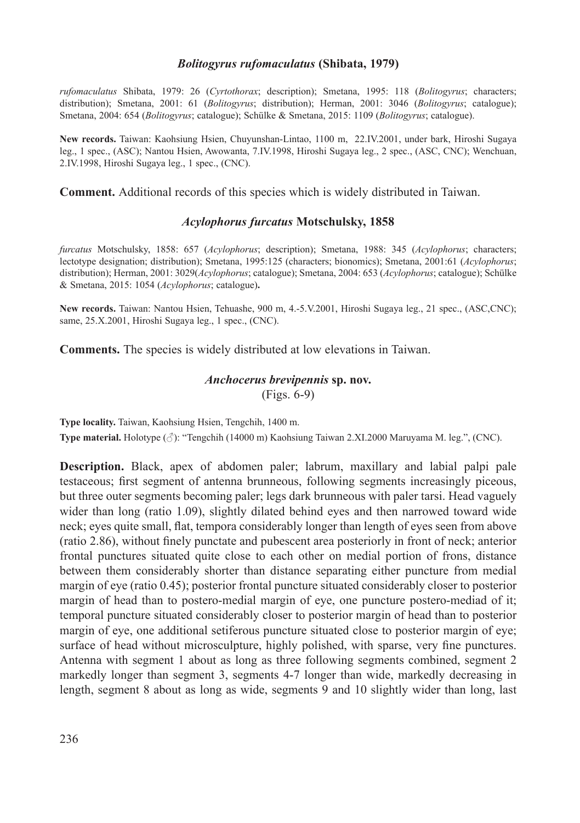## *Bolitogyrus rufomaculatus* **(Shibata, 1979)**

*rufomaculatus* Shibata, 1979: 26 (*Cyrtothorax*; description); Smetana, 1995: 118 (*Bolitogyrus*; characters; distribution); Smetana, 2001: 61 (*Bolitogyrus*; distribution); Herman, 2001: 3046 (*Bolitogyrus*; catalogue); Smetana, 2004: 654 (*Bolitogyrus*; catalogue); Schülke & Smetana, 2015: 1109 (*Bolitogyrus*; catalogue).

**New records.** Taiwan: Kaohsiung Hsien, Chuyunshan-Lintao, 1100 m, 22.IV.2001, under bark, Hiroshi Sugaya leg., 1 spec., (ASC); Nantou Hsien, Awowanta, 7.IV.1998, Hiroshi Sugaya leg., 2 spec., (ASC, CNC); Wenchuan, 2.IV.1998, Hiroshi Sugaya leg., 1 spec., (CNC).

**Comment.** Additional records of this species which is widely distributed in Taiwan.

## *Acylophorus furcatus* **Motschulsky, 1858**

*furcatus* Motschulsky, 1858: 657 (*Acylophorus*; description); Smetana, 1988: 345 (*Acylophorus*; characters; lectotype designation; distribution); Smetana, 1995:125 (characters; bionomics); Smetana, 2001:61 (*Acylophorus*; distribution); Herman, 2001: 3029(*Acylophorus*; catalogue); Smetana, 2004: 653 (*Acylophorus*; catalogue); Schülke & Smetana, 2015: 1054 (*Acylophorus*; catalogue)**.**

**New records.** Taiwan: Nantou Hsien, Tehuashe, 900 m, 4.-5.V.2001, Hiroshi Sugaya leg., 21 spec., (ASC,CNC); same, 25.X.2001, Hiroshi Sugaya leg., 1 spec., (CNC).

**Comments.** The species is widely distributed at low elevations in Taiwan.

# *Anchocerus brevipennis* **sp. nov.** (Figs. 6-9)

**Type locality.** Taiwan, Kaohsiung Hsien, Tengchih, 1400 m.

**Type material.** Holotype (♂): "Tengchih (14000 m) Kaohsiung Taiwan 2.XI.2000 Maruyama M. leg.", (CNC).

**Description.** Black, apex of abdomen paler; labrum, maxillary and labial palpi pale testaceous; first segment of antenna brunneous, following segments increasingly piceous, but three outer segments becoming paler; legs dark brunneous with paler tarsi. Head vaguely wider than long (ratio 1.09), slightly dilated behind eyes and then narrowed toward wide neck; eyes quite small, flat, tempora considerably longer than length of eyes seen from above (ratio 2.86), without finely punctate and pubescent area posteriorly in front of neck; anterior frontal punctures situated quite close to each other on medial portion of frons, distance between them considerably shorter than distance separating either puncture from medial margin of eye (ratio 0.45); posterior frontal puncture situated considerably closer to posterior margin of head than to postero-medial margin of eye, one puncture postero-mediad of it; temporal puncture situated considerably closer to posterior margin of head than to posterior margin of eye, one additional setiferous puncture situated close to posterior margin of eye; surface of head without microsculpture, highly polished, with sparse, very fine punctures. Antenna with segment 1 about as long as three following segments combined, segment 2 markedly longer than segment 3, segments 4-7 longer than wide, markedly decreasing in length, segment 8 about as long as wide, segments 9 and 10 slightly wider than long, last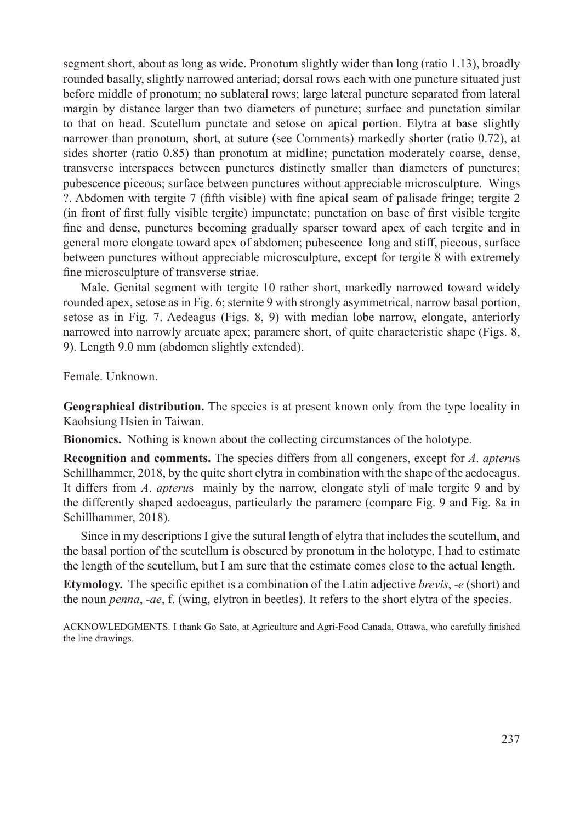segment short, about as long as wide. Pronotum slightly wider than long (ratio 1.13), broadly rounded basally, slightly narrowed anteriad; dorsal rows each with one puncture situated just before middle of pronotum; no sublateral rows; large lateral puncture separated from lateral margin by distance larger than two diameters of puncture; surface and punctation similar to that on head. Scutellum punctate and setose on apical portion. Elytra at base slightly narrower than pronotum, short, at suture (see Comments) markedly shorter (ratio 0.72), at sides shorter (ratio 0.85) than pronotum at midline; punctation moderately coarse, dense, transverse interspaces between punctures distinctly smaller than diameters of punctures; pubescence piceous; surface between punctures without appreciable microsculpture. Wings ?. Abdomen with tergite 7 (fifth visible) with fine apical seam of palisade fringe; tergite 2 (in front of first fully visible tergite) impunctate; punctation on base of first visible tergite fine and dense, punctures becoming gradually sparser toward apex of each tergite and in general more elongate toward apex of abdomen; pubescence long and stiff, piceous, surface between punctures without appreciable microsculpture, except for tergite 8 with extremely fine microsculpture of transverse striae.

Male. Genital segment with tergite 10 rather short, markedly narrowed toward widely rounded apex, setose as in Fig. 6; sternite 9 with strongly asymmetrical, narrow basal portion, setose as in Fig. 7. Aedeagus (Figs. 8, 9) with median lobe narrow, elongate, anteriorly narrowed into narrowly arcuate apex; paramere short, of quite characteristic shape (Figs. 8, 9). Length 9.0 mm (abdomen slightly extended).

Female. Unknown.

**Geographical distribution.** The species is at present known only from the type locality in Kaohsiung Hsien in Taiwan.

**Bionomics.** Nothing is known about the collecting circumstances of the holotype.

**Recognition and comments.** The species differs from all congeners, except for *A*. *apteru*s Schillhammer, 2018, by the quite short elytra in combination with the shape of the aedoeagus. It differs from *A*. *apteru*s mainly by the narrow, elongate styli of male tergite 9 and by the differently shaped aedoeagus, particularly the paramere (compare Fig. 9 and Fig. 8a in Schillhammer, 2018).

Since in my descriptions I give the sutural length of elytra that includes the scutellum, and the basal portion of the scutellum is obscured by pronotum in the holotype, I had to estimate the length of the scutellum, but I am sure that the estimate comes close to the actual length.

**Etymology.** The specific epithet is a combination of the Latin adjective *brevis*, -*e* (short) and the noun *penna*, -*ae*, f. (wing, elytron in beetles). It refers to the short elytra of the species.

ACKNOWLEDGMENTS. I thank Go Sato, at Agriculture and Agri-Food Canada, Ottawa, who carefully finished the line drawings.